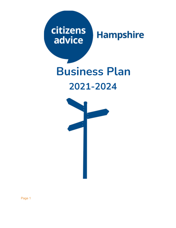### citizens **Hampshire** advice

# **Business Plan 2021-2024**



Page 1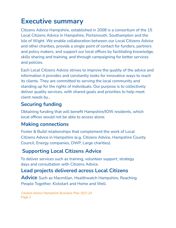### **Executive summary**

Citizens Advice Hampshire, established in 2008 is a consortium of the 15 Local Citizens Advice in Hampshire, Portsmouth, Southampton and the Isle of Wight. We enable collaboration between our Local Citizens Advice and other charities, provide a single point of contact for funders, partners and policy makers, and support our local offices by facilitating knowledge, skills sharing and training, and through campaigning for better services and policies.

Each Local Citizens Advice strives to improve the quality of the advice and information it provides and constantly looks for innovative ways to reach its clients. They are committed to serving the local community and standing up for the rights of individuals. Our purpose is to collectively deliver quality services, with shared goals and priorities to help meet client needs by…

#### **Securing funding**

Obtaining funding that will benefit Hampshire/IOW residents, which local offices would not be able to access alone.

#### **Making connections**

Foster & Build relationships that complement the work of Local Citizens Advice in Hampshire (e.g. Citizens Advice, Hampshire County Council, Energy companies, DWP, Large charities)

#### **Supporting Local Citizens Advice**

To deliver services such as training, volunteer support, strategy days and consultation with Citizens Advice.

#### **Lead projects delivered across Local Citizens**

**Advice** Such as Macmillan, Healthwatch Hampshire, Reaching People Together. Kickstart and Home and Well.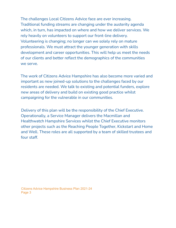The challenges Local Citizens Advice face are ever increasing. Traditional funding streams are changing under the austerity agenda which, in turn, has impacted on where and how we deliver services. We rely heavily on volunteers to support our front-line delivery. Volunteering is changing; no longer can we solely rely on mature professionals. We must attract the younger generation with skills development and career opportunities. This will help us meet the needs of our clients and better reflect the demographics of the communities we serve.

The work of Citizens Advice Hampshire has also become more varied and important as new joined-up solutions to the challenges faced by our residents are needed. We talk to existing and potential funders, explore new areas of delivery and build on existing good practice whilst campaigning for the vulnerable in our communities.

Delivery of this plan will be the responsibility of the Chief Executive. Operationally, a Service Manager delivers the Macmillan and Healthwatch Hampshire Services whilst the Chief Executive monitors other projects such as the Reaching People Together, Kickstart and Home and Well. These roles are all supported by a team of skilled trustees and four staff.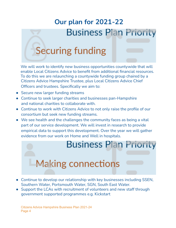### **Our plan for 2021-22 Business Plan Priority**

## **Securing funding**

We will work to identify new business opportunities countywide that will enable Local Citizens Advice to benefit from additional financial resources. To do this we are relaunching a countywide funding group chaired by a Citizens Advice Hampshire Trustee, plus Local Citizens Advice Chief Officers and trustees. Specifically we aim to:

- Secure new larger funding streams
- Continue to seek larger charities and businesses pan-Hampshire and national charities to collaborate with.
- Continue to work with Citizens Advice to not only raise the profile of our consortium but seek new funding streams.
- We see health and the challenges the community faces as being a vital part of our service development. We will invest in research to provide empirical data to support this development. Over the year we will gather evidence from our work on Home and Well in hospitals.

## **Business Plan Priority**

## **Making connections**

- Continue to develop our relationship with key businesses including SSEN, Southern Water, Portsmouth Water, SGN, South East Water.
- Support the LCAs with recruitment of volunteers and new staff through government supported programmes e.g. Kickstart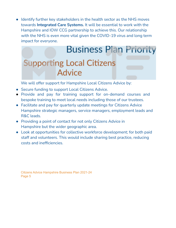● Identify further key stakeholders in the health sector as the NHS moves towards **Integrated Care Systems.** It will be essential to work with the Hampshire and IOW CCG partnership to achieve this. Our relationship with the NHS is even more vital given the COVID-19 virus and long term impact for everyone.

## **Business Plan Priority Supporting Local Citizens Advice**

We will offer support for Hampshire Local Citizens Advice by:

- Secure funding to support Local Citizens Advice.
- Provide and pay for training support for on-demand courses and bespoke training to meet local needs including those of our trustees.
- Facilitate and pay for quarterly update meetings for Citizens Advice Hampshire strategic managers, service managers, employment leads and R&C leads.
- Providing a point of contact for not only Citizens Advice in Hampshire but the wider geographic area.
- Look at opportunities for collective workforce development; for both paid staff and volunteers. This would include sharing best practice, reducing costs and inefficiencies.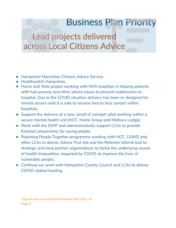## **Business Plan Priority**

### Lead projects delivered across Local Citizens Advice

- Hampshire Macmillan Citizens Advice Service.
- Healthwatch Hampshire.
- Home and Well project working with NHS hospitals in helping patients with fuel poverty and other advice issues to prevent readmission to hospital. Due to the COVID situation delivery has been re-designed for remote access until it is safe to resume face to face contact within hospitals.
- Support the delivery of a new 'proof of concept' pilot working within a secure mental health unit (HCC, Home Group and Melbury Lodge).
- Work with the DWP and administratively support LCAs to provide Kickstart placements for young people.
- Reaching People Together programme working with HCC, CAWD and other LCAs to deliver Advice First Aid and the Refernet referral tool to strategic and local partner organisations to tackle the underlying causes of health inequalities, impacted by COVID, to improve the lives of vulnerable people.
- Continue our work with Hampshire County Council and LCAs to deliver COVID related funding.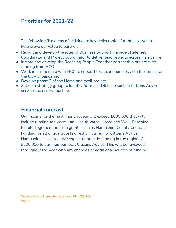#### **Priorities for 2021-22**

The following five areas of activity are key deliverables for the next year to help prove our value to partners

- Recruit and develop the roles of Business Support Manager, Refernet Coordinator and Project Coordinator to deliver lead projects across Hampshire
- Initiate and develop the Reaching People Together partnership project with funding from HCC
- Work in partnership with HCC to support local communities with the impact of the COVID pandemic
- Develop phase 2 of the Home and Well project
- Set up a strategy group to identify future activities to sustain Citizens Advice services across Hampshire.

#### **Financial forecast**

Our income for the next financial year will exceed £600,000 that will include funding for Macmillan, Healthwatch, Home and Well, Reaching People Together and from grants such as Hampshire County Council. Funding for all ongoing costs directly incurred for Citizens Advice Hampshire is secured. We expect to provide funding in the region of £500,000 to our member local Citizens Advice. This will be reviewed throughout the year with any changes or additional sources of funding.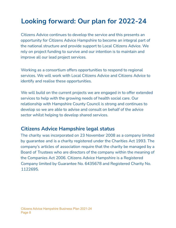### **Looking forward: Our plan for 2022-24**

Citizens Advice continues to develop the service and this presents an opportunity for Citizens Advice Hampshire to become an integral part of the national structure and provide support to Local Citizens Advice. We rely on project funding to survive and our intention is to maintain and improve all our lead project services.

Working as a consortium offers opportunities to respond to regional services. We will work with Local Citizens Advice and Citizens Advice to identify and realise these opportunities.

We will build on the current projects we are engaged in to offer extended services to help with the growing needs of health social care. Our relationship with Hampshire County Council is strong and continues to develop so we are able to advise and consult on behalf of the advice sector whilst helping to develop shared services.

#### **Citizens Advice Hampshire legal status**

The charity was incorporated on 23 November 2008 as a company limited by guarantee and is a charity registered under the Charities Act 1993. The company's articles of association require that the charity be managed by a Board of Trustees who are directors of the company within the meaning of the Companies Act 2006. Citizens Advice Hampshire is a Registered Company limited by Guarantee No. 6435678 and Registered Charity No. 1122695.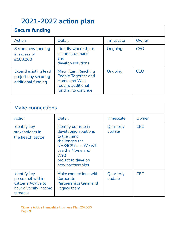### **2021-2022 action plan**

| <b>Secure funding</b>                                                     |                                                                                                          |                  |            |
|---------------------------------------------------------------------------|----------------------------------------------------------------------------------------------------------|------------------|------------|
| <b>Action</b>                                                             | <b>Detail</b>                                                                                            | <b>Timescale</b> | Owner      |
| Secure new funding<br>in excess of<br>£100,000                            | Identify where there<br>is unmet demand<br>and<br>develop solutions                                      | Ongoing          | <b>CEO</b> |
| <b>Extend existing lead</b><br>projects by securing<br>additional funding | Macmillan, Reaching<br>People Together and<br>Home and Well<br>require additional<br>funding to continue | Ongoing          | <b>CEO</b> |

| <b>Make connections</b>                                                                                  |                                                                                                                                                                                 |                     |            |
|----------------------------------------------------------------------------------------------------------|---------------------------------------------------------------------------------------------------------------------------------------------------------------------------------|---------------------|------------|
| <b>Action</b>                                                                                            | <b>Detail</b>                                                                                                                                                                   | Timescale           | Owner      |
| <b>Identify key</b><br>stakeholders in<br>the health sector                                              | Identify our role in<br>developing solutions<br>to the rising<br>challenges the<br>NHS/ICS face. We will<br>use the Home and<br>Well<br>project to develop<br>new partnerships. | Quarterly<br>update | <b>CEO</b> |
| <b>Identify key</b><br>personnel within<br><b>Citizens Advice to</b><br>help diversify income<br>streams | Make connections with<br>Corporate<br>Partnerships team and<br>Legacy team                                                                                                      | Quarterly<br>update | <b>CEO</b> |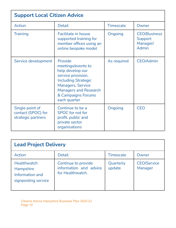| <b>Support Local Citizen Advice</b>                         |                                                                                                                                                                                                         |                  |                                                            |
|-------------------------------------------------------------|---------------------------------------------------------------------------------------------------------------------------------------------------------------------------------------------------------|------------------|------------------------------------------------------------|
| <b>Action</b>                                               | <b>Detail</b>                                                                                                                                                                                           | <b>Timescale</b> | Owner                                                      |
| <b>Training</b>                                             | Facilitate in house<br>supported training for<br>member offices using an<br>online bespoke model                                                                                                        | Ongoing          | <b>CEO/Business</b><br>Support<br>Manager/<br><b>Admin</b> |
| Service development                                         | Provide<br>meetings/events to<br>help develop our<br>service provision.<br><b>Including Strategic</b><br><b>Managers, Service</b><br><b>Managers and Research</b><br>& Campaigns Forums<br>each quarter | As required      | <b>CEO/Admin</b>                                           |
| Single point of<br>contact (SPOC) for<br>strategic partners | Continue to be a<br><b>SPOC</b> for not for<br>profit, public and<br>private sector<br>organisations                                                                                                    | Ongoing          | <b>CEO</b>                                                 |

| <b>Lead Project Delivery</b>                                                     |                                                                   |                     |                               |
|----------------------------------------------------------------------------------|-------------------------------------------------------------------|---------------------|-------------------------------|
| Action                                                                           | <b>Detail</b>                                                     | <b>Timescale</b>    | Owner                         |
| <b>Healthwatch</b><br><b>Hampshire</b><br>Information and<br>signposting service | Continue to provide<br>information and advice<br>for Healthwatch. | Quarterly<br>update | <b>CEO/Service</b><br>Manager |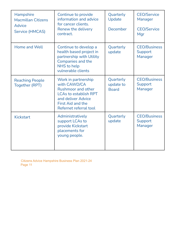| <b>Hampshire</b><br><b>Macmillan Citizens</b><br><b>Advice</b><br>Service (HMCAS) | Continue to provide<br>information and advice<br>for cancer clients.<br>Renew the delivery<br>contract.                                                                      | Quarterly<br>Update<br>December        | <b>CEO/Service</b><br>Manager<br><b>CEO/Service</b><br>Mgr |
|-----------------------------------------------------------------------------------|------------------------------------------------------------------------------------------------------------------------------------------------------------------------------|----------------------------------------|------------------------------------------------------------|
| Home and Well                                                                     | Continue to develop a<br>health based project in<br>partnership with Utility<br><b>Companies and the</b><br>NHS to help<br>vulnerable clients                                | Quarterly<br>update                    | <b>CEO/Business</b><br>Support<br>Manager                  |
| <b>Reaching People</b><br>Together (RPT)                                          | Work in partnership<br>with CAWD/CA<br><b>Rushmoor and other</b><br><b>LCAs to establish RPT</b><br>and deliver Advice<br><b>First Aid and the</b><br>Refernet referral tool | Quarterly<br>update to<br><b>Board</b> | <b>CEO/Business</b><br>Support<br>Manager                  |
| <b>Kickstart</b>                                                                  | Administratively<br>support LCAs to<br>provide Kickstart<br>placements for<br>young people.                                                                                  | Quarterly<br>update                    | <b>CEO/Business</b><br>Support<br>Manager                  |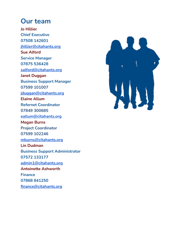#### **Our team**

**Jo Hillier Chief Executive 07508 142601 jhillier@citahants.org Sue Alford Service Manager 07875 536428 salford@citahants.org Janet Duggan Business Support Manager 07599 101007 jduggan@citahants.org Elaine Allum Refernet Coordinator 07849 300685 eallum@citahants.org Megan Burns Project Coordinator 07599 102246 mburns@citahants.org Lin Dudman Business Support Administrator 07572 133177 admin1@citahants.org Antoinette Ashworth Finance 07868 841250 finance@citahants.org**